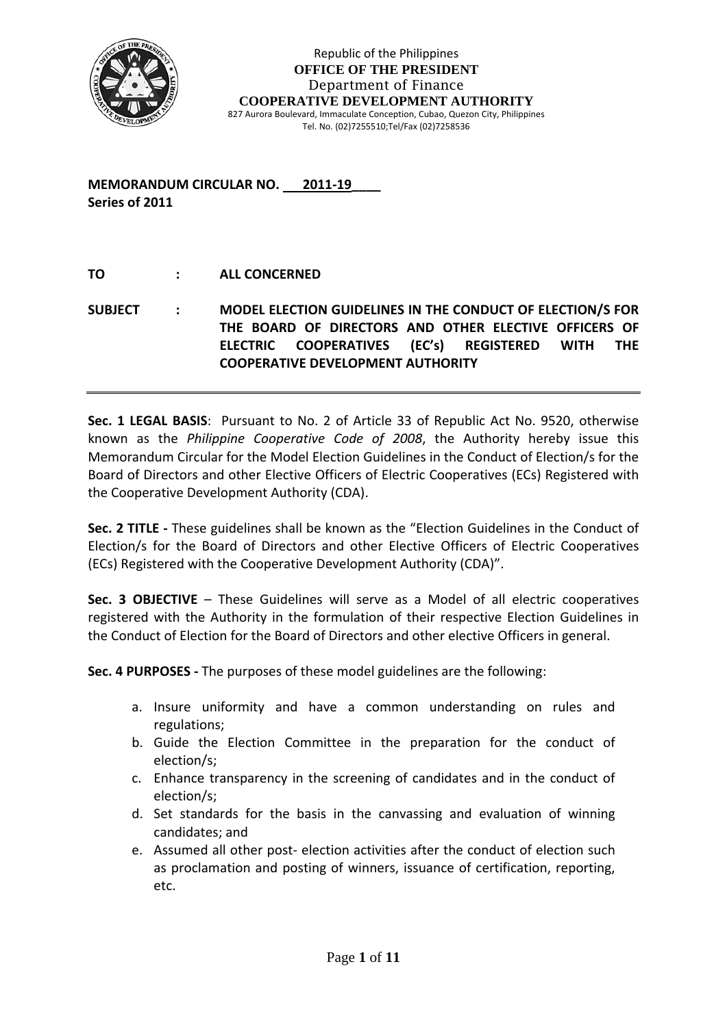

**MEMORANDUM CIRCULAR NO. 2011‐19\_\_\_\_ Series of 2011**

### **TO : ALL CONCERNED**

**SUBJECT : MODEL ELECTION GUIDELINES IN THE CONDUCT OF ELECTION/S FOR THE BOARD OF DIRECTORS AND OTHER ELECTIVE OFFICERS OF ELECTRIC COOPERATIVES (EC's) REGISTERED WITH THE COOPERATIVE DEVELOPMENT AUTHORITY**

**Sec. 1 LEGAL BASIS**: Pursuant to No. 2 of Article 33 of Republic Act No. 9520, otherwise known as the *Philippine Cooperative Code of 2008*, the Authority hereby issue this Memorandum Circular for the Model Election Guidelines in the Conduct of Election/s for the Board of Directors and other Elective Officers of Electric Cooperatives (ECs) Registered with the Cooperative Development Authority (CDA).

**Sec. 2 TITLE ‐** These guidelines shall be known as the "Election Guidelines in the Conduct of Election/s for the Board of Directors and other Elective Officers of Electric Cooperatives (ECs) Registered with the Cooperative Development Authority (CDA)".

**Sec. 3 OBJECTIVE** – These Guidelines will serve as a Model of all electric cooperatives registered with the Authority in the formulation of their respective Election Guidelines in the Conduct of Election for the Board of Directors and other elective Officers in general.

**Sec. 4 PURPOSES ‐** The purposes of these model guidelines are the following:

- a. Insure uniformity and have a common understanding on rules and regulations;
- b. Guide the Election Committee in the preparation for the conduct of election/s;
- c. Enhance transparency in the screening of candidates and in the conduct of election/s;
- d. Set standards for the basis in the canvassing and evaluation of winning candidates; and
- e. Assumed all other post- election activities after the conduct of election such as proclamation and posting of winners, issuance of certification, reporting, etc.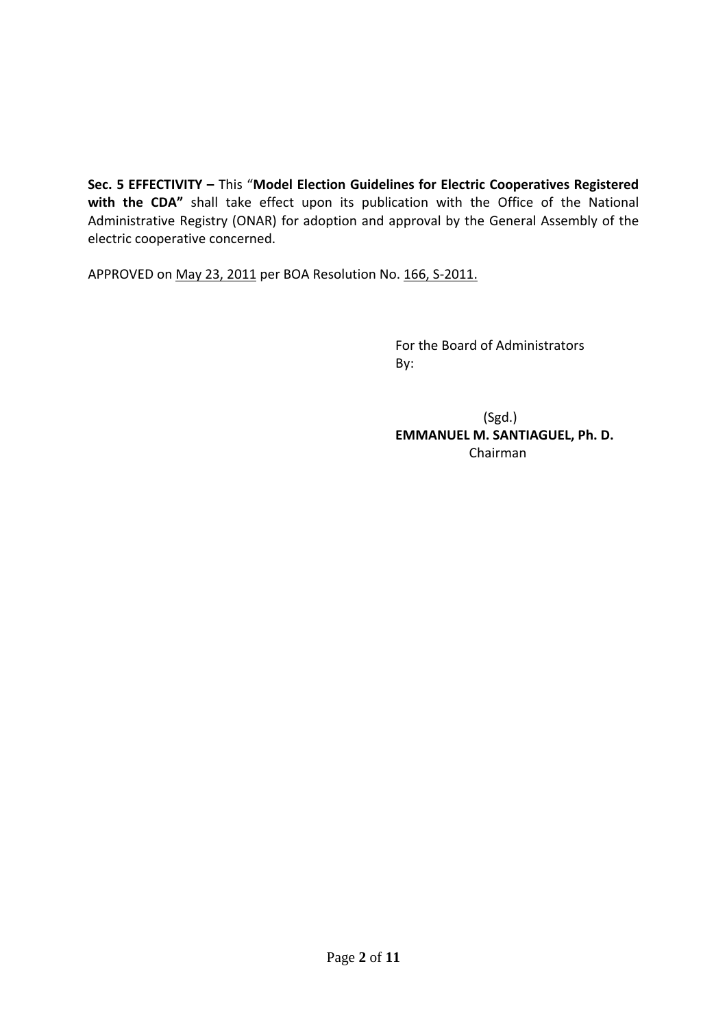**Sec. 5 EFFECTIVITY –** This "**Model Election Guidelines for Electric Cooperatives Registered with the CDA"** shall take effect upon its publication with the Office of the National Administrative Registry (ONAR) for adoption and approval by the General Assembly of the electric cooperative concerned.

APPROVED on May 23, 2011 per BOA Resolution No. 166, S-2011.

 For the Board of Administrators By:

 $(Sgd.)$  **EMMANUEL M. SANTIAGUEL, Ph. D.** Chairman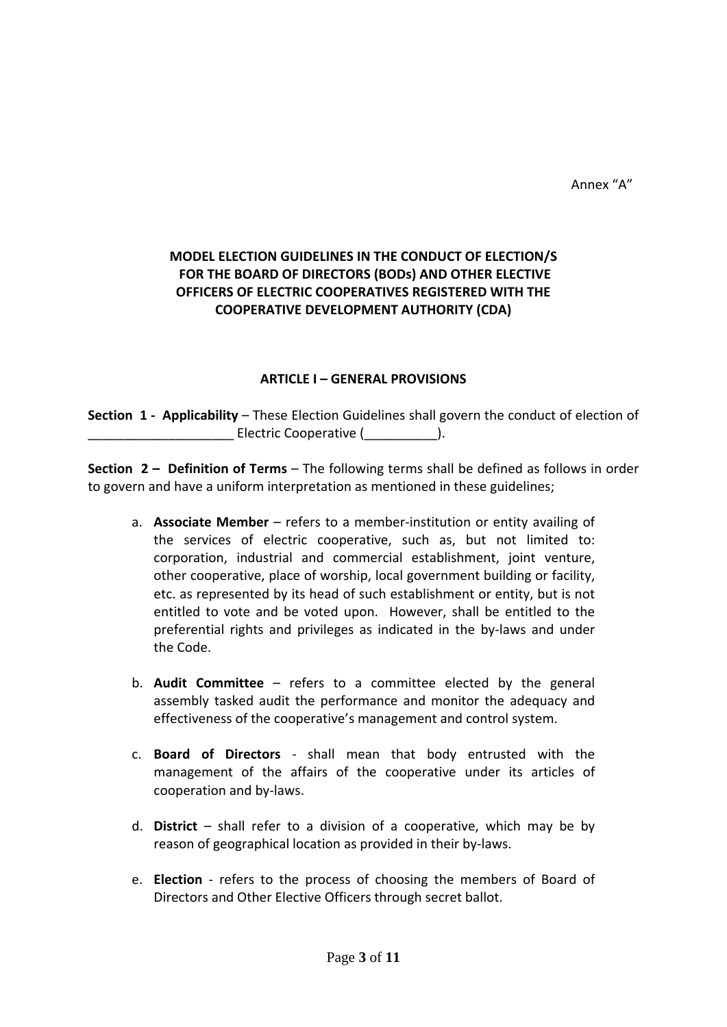### **MODEL ELECTION GUIDELINES IN THE CONDUCT OF ELECTION/S FOR THE BOARD OF DIRECTORS (BODs) AND OTHER ELECTIVE OFFICERS OF ELECTRIC COOPERATIVES REGISTERED WITH THE COOPERATIVE DEVELOPMENT AUTHORITY (CDA)**

#### **ARTICLE I – GENERAL PROVISIONS**

**Section 1 ‐ Applicability** – These Election Guidelines shall govern the conduct of election of \_\_\_\_\_\_\_\_\_\_\_\_\_\_\_\_\_\_\_\_ Electric Cooperative (\_\_\_\_\_\_\_\_\_\_).

**Section 2 – Definition of Terms** – The following terms shall be defined as follows in order to govern and have a uniform interpretation as mentioned in these guidelines;

- a. **Associate Member** refers to a member‐institution or entity availing of the services of electric cooperative, such as, but not limited to: corporation, industrial and commercial establishment, joint venture, other cooperative, place of worship, local government building or facility, etc. as represented by its head of such establishment or entity, but is not entitled to vote and be voted upon. However, shall be entitled to the preferential rights and privileges as indicated in the by‐laws and under the Code.
- b. **Audit Committee** refers to a committee elected by the general assembly tasked audit the performance and monitor the adequacy and effectiveness of the cooperative's management and control system.
- c. **Board of Directors** ‐ shall mean that body entrusted with the management of the affairs of the cooperative under its articles of cooperation and by‐laws.
- d. **District** shall refer to a division of a cooperative, which may be by reason of geographical location as provided in their by‐laws.
- e. **Election** refers to the process of choosing the members of Board of Directors and Other Elective Officers through secret ballot.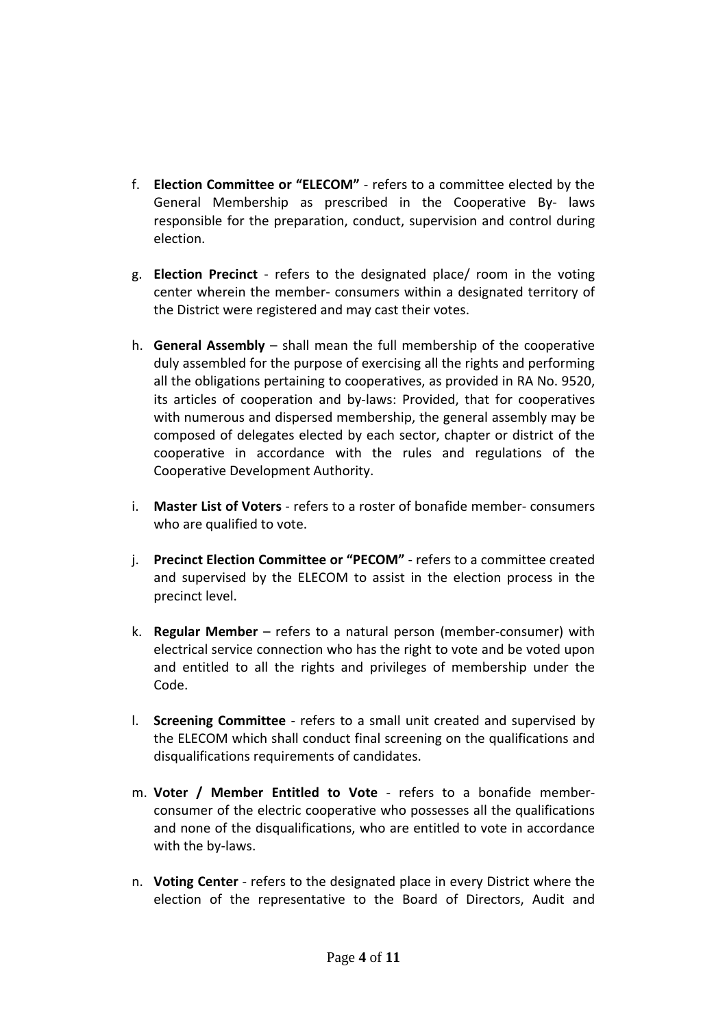- f. **Election Committee or "ELECOM"** ‐ refers to a committee elected by the General Membership as prescribed in the Cooperative By‐ laws responsible for the preparation, conduct, supervision and control during election.
- g. **Election Precinct** ‐ refers to the designated place/ room in the voting center wherein the member‐ consumers within a designated territory of the District were registered and may cast their votes.
- h. **General Assembly** shall mean the full membership of the cooperative duly assembled for the purpose of exercising all the rights and performing all the obligations pertaining to cooperatives, as provided in RA No. 9520, its articles of cooperation and by‐laws: Provided, that for cooperatives with numerous and dispersed membership, the general assembly may be composed of delegates elected by each sector, chapter or district of the cooperative in accordance with the rules and regulations of the Cooperative Development Authority.
- i. **Master List of Voters** ‐ refers to a roster of bonafide member‐ consumers who are qualified to vote.
- j. **Precinct Election Committee or "PECOM"** ‐ refers to a committee created and supervised by the ELECOM to assist in the election process in the precinct level.
- k. **Regular Member** refers to a natural person (member‐consumer) with electrical service connection who has the right to vote and be voted upon and entitled to all the rights and privileges of membership under the Code.
- l. **Screening Committee** ‐ refers to a small unit created and supervised by the ELECOM which shall conduct final screening on the qualifications and disqualifications requirements of candidates.
- m. **Voter / Member Entitled to Vote** ‐ refers to a bonafide member‐ consumer of the electric cooperative who possesses all the qualifications and none of the disqualifications, who are entitled to vote in accordance with the by-laws.
- n. **Voting Center** ‐ refers to the designated place in every District where the election of the representative to the Board of Directors, Audit and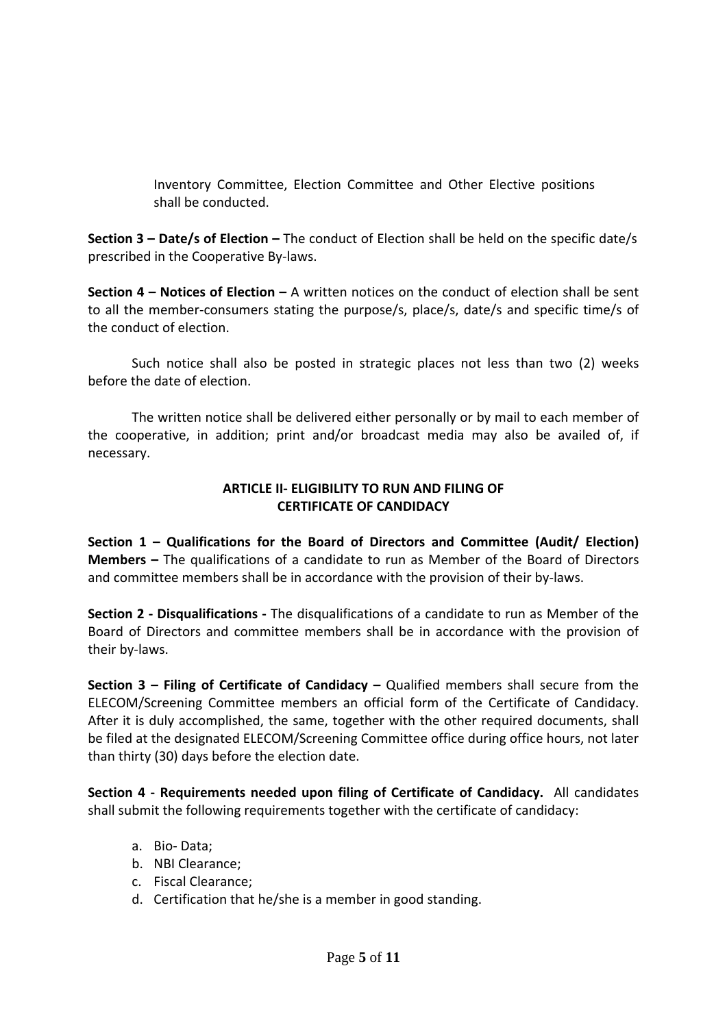Inventory Committee, Election Committee and Other Elective positions shall be conducted.

**Section 3 – Date/s of Election –** The conduct of Election shall be held on the specific date/s prescribed in the Cooperative By‐laws.

**Section 4 – Notices of Election –** A written notices on the conduct of election shall be sent to all the member‐consumers stating the purpose/s, place/s, date/s and specific time/s of the conduct of election.

Such notice shall also be posted in strategic places not less than two (2) weeks before the date of election.

The written notice shall be delivered either personally or by mail to each member of the cooperative, in addition; print and/or broadcast media may also be availed of, if necessary.

#### **ARTICLE II‐ ELIGIBILITY TO RUN AND FILING OF CERTIFICATE OF CANDIDACY**

**Section 1 – Qualifications for the Board of Directors and Committee (Audit/ Election) Members –** The qualifications of a candidate to run as Member of the Board of Directors and committee members shall be in accordance with the provision of their by-laws.

**Section 2 ‐ Disqualifications ‐** The disqualifications of a candidate to run as Member of the Board of Directors and committee members shall be in accordance with the provision of their by‐laws.

**Section 3 – Filing of Certificate of Candidacy –** Qualified members shall secure from the ELECOM/Screening Committee members an official form of the Certificate of Candidacy. After it is duly accomplished, the same, together with the other required documents, shall be filed at the designated ELECOM/Screening Committee office during office hours, not later than thirty (30) days before the election date.

**Section 4 ‐ Requirements needed upon filing of Certificate of Candidacy.** All candidates shall submit the following requirements together with the certificate of candidacy:

- a. Bio‐ Data;
- b. NBI Clearance;
- c. Fiscal Clearance;
- d. Certification that he/she is a member in good standing.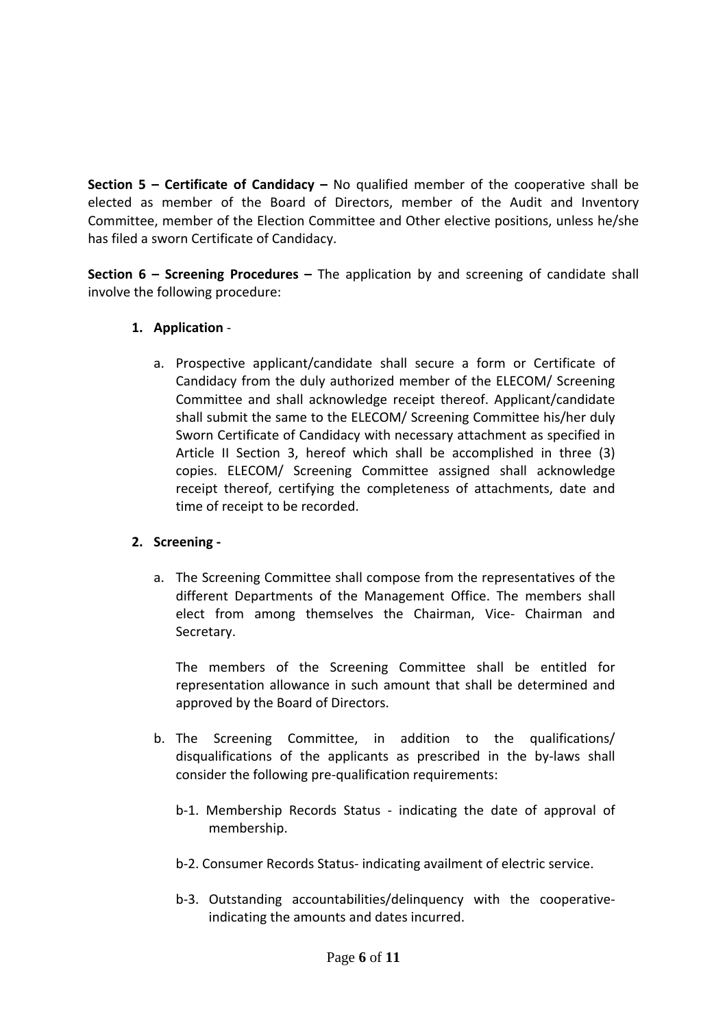**Section 5 – Certificate of Candidacy –** No qualified member of the cooperative shall be elected as member of the Board of Directors, member of the Audit and Inventory Committee, member of the Election Committee and Other elective positions, unless he/she has filed a sworn Certificate of Candidacy.

**Section 6 – Screening Procedures –** The application by and screening of candidate shall involve the following procedure:

### **1. Application** ‐

a. Prospective applicant/candidate shall secure a form or Certificate of Candidacy from the duly authorized member of the ELECOM/ Screening Committee and shall acknowledge receipt thereof. Applicant/candidate shall submit the same to the ELECOM/ Screening Committee his/her duly Sworn Certificate of Candidacy with necessary attachment as specified in Article II Section 3, hereof which shall be accomplished in three (3) copies. ELECOM/ Screening Committee assigned shall acknowledge receipt thereof, certifying the completeness of attachments, date and time of receipt to be recorded.

# **2. Screening ‐**

a. The Screening Committee shall compose from the representatives of the different Departments of the Management Office. The members shall elect from among themselves the Chairman, Vice‐ Chairman and Secretary.

The members of the Screening Committee shall be entitled for representation allowance in such amount that shall be determined and approved by the Board of Directors.

- b. The Screening Committee, in addition to the qualifications/ disqualifications of the applicants as prescribed in the by‐laws shall consider the following pre‐qualification requirements:
	- b-1. Membership Records Status indicating the date of approval of membership.
	- b‐2. Consumer Records Status‐ indicating availment of electric service.
	- b-3. Outstanding accountabilities/delinquency with the cooperativeindicating the amounts and dates incurred.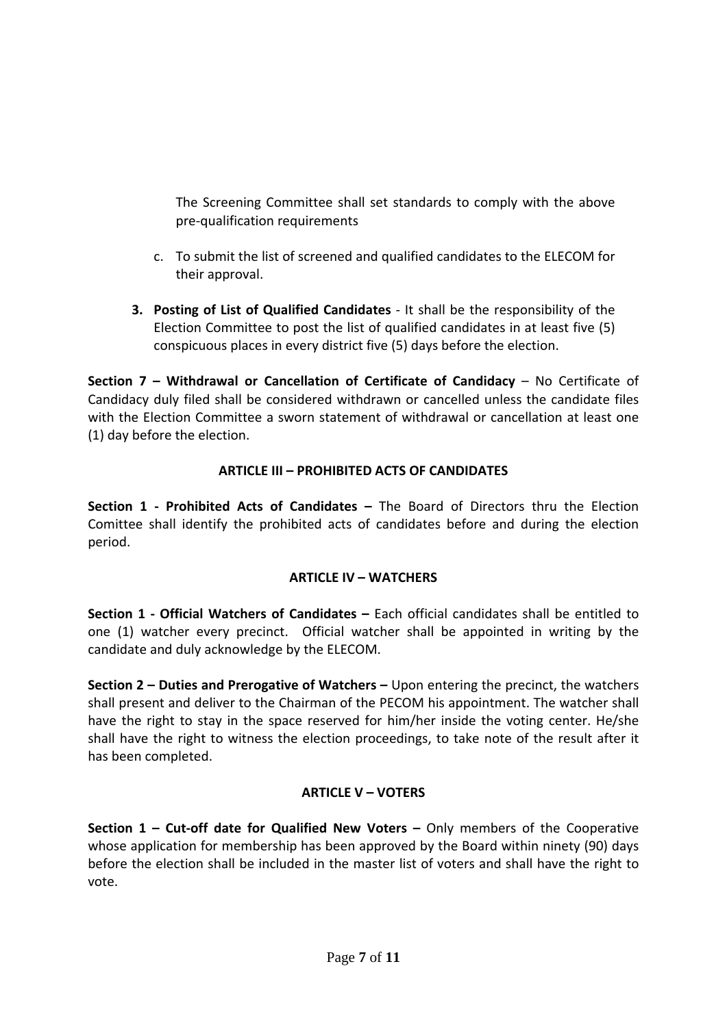The Screening Committee shall set standards to comply with the above pre‐qualification requirements

- c. To submit the list of screened and qualified candidates to the ELECOM for their approval.
- **3. Posting of List of Qualified Candidates** ‐ It shall be the responsibility of the Election Committee to post the list of qualified candidates in at least five (5) conspicuous places in every district five (5) days before the election.

**Section 7 – Withdrawal or Cancellation of Certificate of Candidacy** – No Certificate of Candidacy duly filed shall be considered withdrawn or cancelled unless the candidate files with the Election Committee a sworn statement of withdrawal or cancellation at least one (1) day before the election.

# **ARTICLE III – PROHIBITED ACTS OF CANDIDATES**

**Section 1 ‐ Prohibited Acts of Candidates –** The Board of Directors thru the Election Comittee shall identify the prohibited acts of candidates before and during the election period.

# **ARTICLE IV – WATCHERS**

**Section 1 ‐ Official Watchers of Candidates –** Each official candidates shall be entitled to one (1) watcher every precinct. Official watcher shall be appointed in writing by the candidate and duly acknowledge by the ELECOM.

**Section 2 – Duties and Prerogative of Watchers –** Upon entering the precinct, the watchers shall present and deliver to the Chairman of the PECOM his appointment. The watcher shall have the right to stay in the space reserved for him/her inside the voting center. He/she shall have the right to witness the election proceedings, to take note of the result after it has been completed.

# **ARTICLE V – VOTERS**

**Section 1 – Cut‐off date for Qualified New Voters –** Only members of the Cooperative whose application for membership has been approved by the Board within ninety (90) days before the election shall be included in the master list of voters and shall have the right to vote.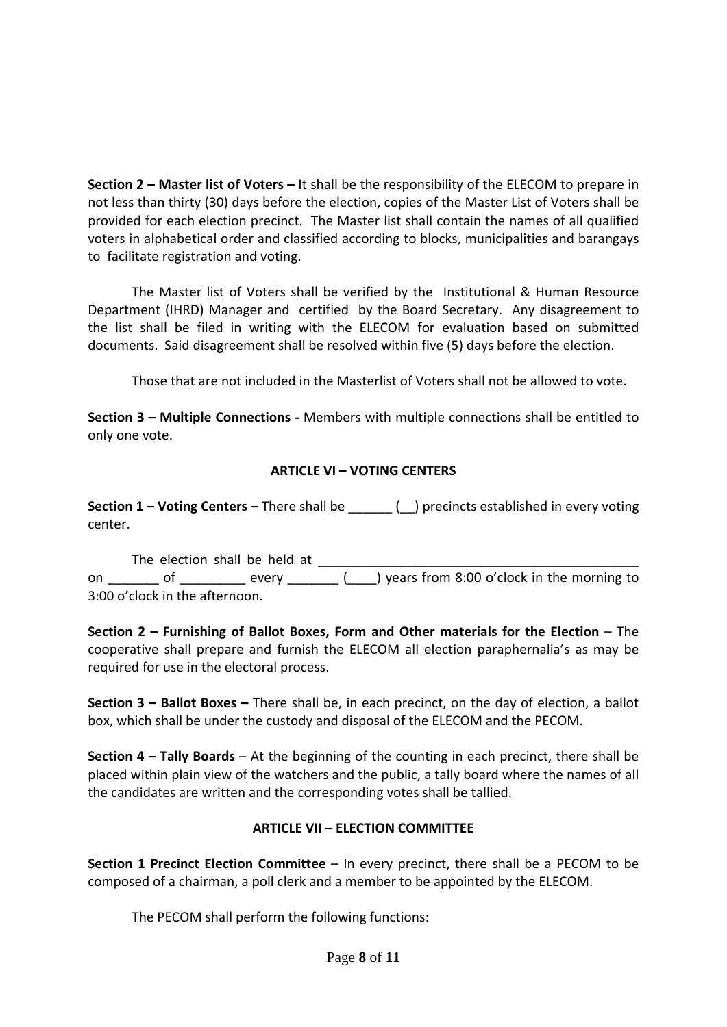**Section 2 – Master list of Voters –** It shall be the responsibility of the ELECOM to prepare in not less than thirty (30) days before the election, copies of the Master List of Voters shall be provided for each election precinct. The Master list shall contain the names of all qualified voters in alphabetical order and classified according to blocks, municipalities and barangays to facilitate registration and voting.

The Master list of Voters shall be verified by the Institutional & Human Resource Department (IHRD) Manager and certified by the Board Secretary. Any disagreement to the list shall be filed in writing with the ELECOM for evaluation based on submitted documents. Said disagreement shall be resolved within five (5) days before the election.

Those that are not included in the Masterlist of Voters shall not be allowed to vote.

**Section 3 – Multiple Connections ‐** Members with multiple connections shall be entitled to only one vote.

# **ARTICLE VI – VOTING CENTERS**

**Section 1 – Voting Centers –** There shall be \_\_\_\_\_\_ (\_\_) precincts established in every voting center.

The election shall be held at \_\_\_\_\_\_\_\_\_\_\_\_\_\_\_\_\_\_\_\_\_\_\_\_\_\_\_\_\_\_\_\_\_\_\_\_\_\_\_\_\_\_\_\_ on \_\_\_\_\_\_\_ of \_\_\_\_\_\_\_\_\_\_ every \_\_\_\_\_\_\_ (\_\_\_\_) years from 8:00 o'clock in the morning to 3:00 o'clock in the afternoon.

 **Section 2 – Furnishing of Ballot Boxes, Form and Other materials for the Election** – The cooperative shall prepare and furnish the ELECOM all election paraphernalia's as may be required for use in the electoral process.

 **Section 3 – Ballot Boxes –** There shall be, in each precinct, on the day of election, a ballot box, which shall be under the custody and disposal of the ELECOM and the PECOM.

 **Section 4 – Tally Boards** – At the beginning of the counting in each precinct, there shall be placed within plain view of the watchers and the public, a tally board where the names of all the candidates are written and the corresponding votes shall be tallied.

# **ARTICLE VII – ELECTION COMMITTEE**

**Section 1 Precinct Election Committee** – In every precinct, there shall be a PECOM to be composed of a chairman, a poll clerk and a member to be appointed by the ELECOM.

The PECOM shall perform the following functions: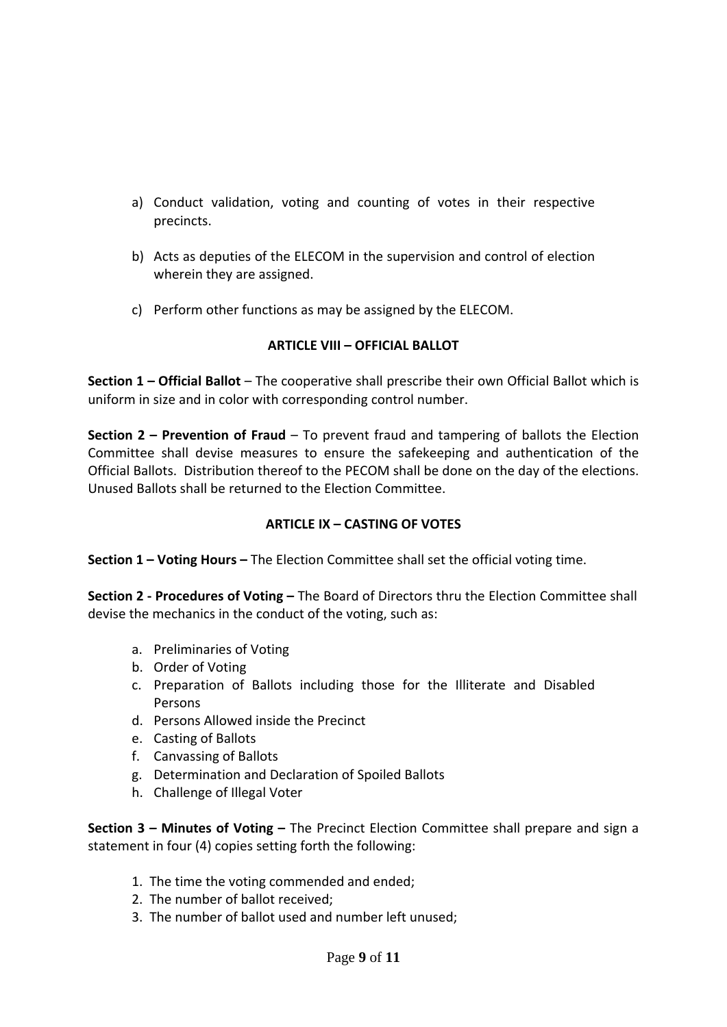- a) Conduct validation, voting and counting of votes in their respective precincts.
- b) Acts as deputies of the ELECOM in the supervision and control of election wherein they are assigned.
- c) Perform other functions as may be assigned by the ELECOM.

### **ARTICLE VIII – OFFICIAL BALLOT**

**Section 1 – Official Ballot** – The cooperative shall prescribe their own Official Ballot which is uniform in size and in color with corresponding control number.

**Section 2 – Prevention of Fraud** – To prevent fraud and tampering of ballots the Election Committee shall devise measures to ensure the safekeeping and authentication of the Official Ballots. Distribution thereof to the PECOM shall be done on the day of the elections. Unused Ballots shall be returned to the Election Committee.

#### **ARTICLE IX – CASTING OF VOTES**

**Section 1 – Voting Hours –** The Election Committee shall set the official voting time.

**Section 2 ‐ Procedures of Voting –** The Board of Directors thru the Election Committee shall devise the mechanics in the conduct of the voting, such as:

- a. Preliminaries of Voting
- b. Order of Voting
- c. Preparation of Ballots including those for the Illiterate and Disabled Persons
- d. Persons Allowed inside the Precinct
- e. Casting of Ballots
- f. Canvassing of Ballots
- g. Determination and Declaration of Spoiled Ballots
- h. Challenge of Illegal Voter

**Section 3 – Minutes of Voting –** The Precinct Election Committee shall prepare and sign a statement in four (4) copies setting forth the following:

- 1. The time the voting commended and ended;
- 2. The number of ballot received;
- 3. The number of ballot used and number left unused;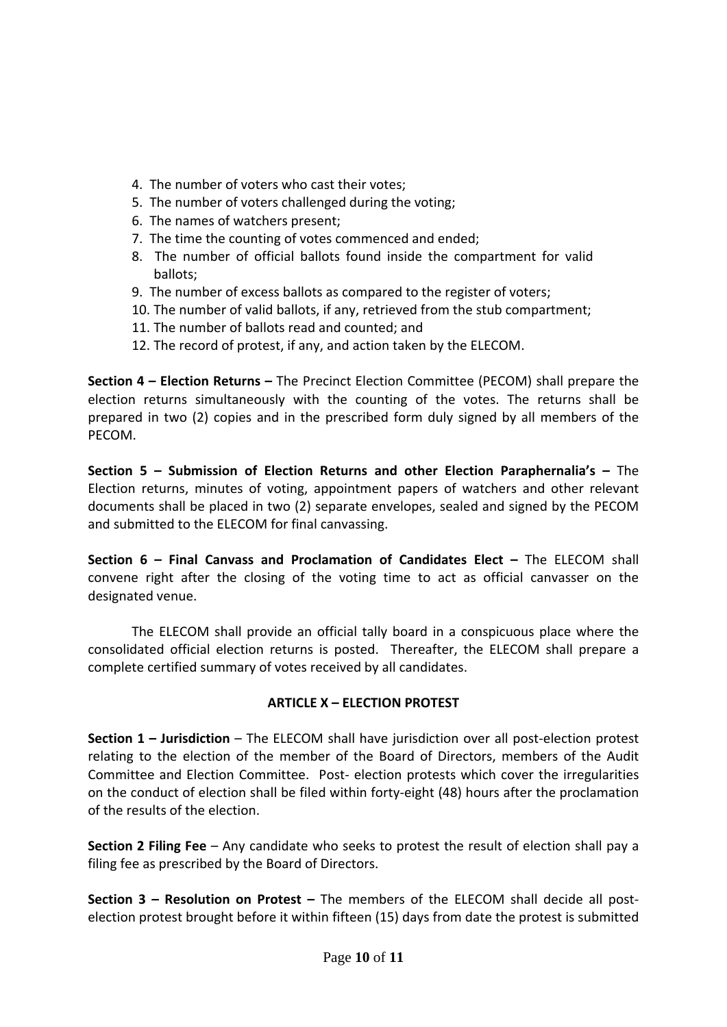- 4. The number of voters who cast their votes;
- 5. The number of voters challenged during the voting;
- 6. The names of watchers present;
- 7. The time the counting of votes commenced and ended;
- 8. The number of official ballots found inside the compartment for valid ballots;
- 9. The number of excess ballots as compared to the register of voters;
- 10. The number of valid ballots, if any, retrieved from the stub compartment;
- 11. The number of ballots read and counted; and
- 12. The record of protest, if any, and action taken by the ELECOM.

**Section 4 – Election Returns –** The Precinct Election Committee (PECOM) shall prepare the election returns simultaneously with the counting of the votes. The returns shall be prepared in two (2) copies and in the prescribed form duly signed by all members of the PECOM.

**Section 5 – Submission of Election Returns and other Election Paraphernalia's –** The Election returns, minutes of voting, appointment papers of watchers and other relevant documents shall be placed in two (2) separate envelopes, sealed and signed by the PECOM and submitted to the ELECOM for final canvassing.

**Section 6 – Final Canvass and Proclamation of Candidates Elect –** The ELECOM shall convene right after the closing of the voting time to act as official canvasser on the designated venue.

The ELECOM shall provide an official tally board in a conspicuous place where the consolidated official election returns is posted. Thereafter, the ELECOM shall prepare a complete certified summary of votes received by all candidates.

#### **ARTICLE X – ELECTION PROTEST**

**Section 1 – Jurisdiction** – The ELECOM shall have jurisdiction over all post‐election protest relating to the election of the member of the Board of Directors, members of the Audit Committee and Election Committee. Post‐ election protests which cover the irregularities on the conduct of election shall be filed within forty‐eight (48) hours after the proclamation of the results of the election.

**Section 2 Filing Fee** – Any candidate who seeks to protest the result of election shall pay a filing fee as prescribed by the Board of Directors.

**Section 3 – Resolution on Protest –** The members of the ELECOM shall decide all post‐ election protest brought before it within fifteen (15) days from date the protest is submitted